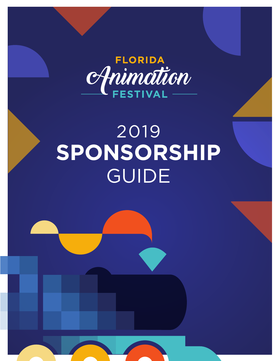

# 2019 **SPONSORSHIP** GUIDE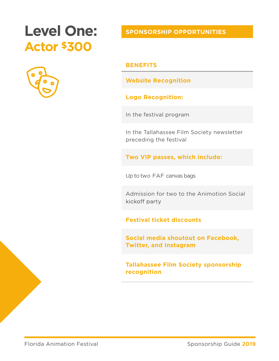# **Level One: Actor \$300**



**SPONSORSHIP OPPORTUNITIES**

#### **BENEFITS**

**Website Recognition**

#### **Logo Recognition:**

In the festival program

In the Tallahassee Film Society newsletter preceding the festival

### **Two VIP passes, which include:**

Up to two FAF canvas bags

Admission for two to the Animotion Social kickoff party

#### **Festival ticket discounts**

**Social media shoutout on Facebook, Twitter, and Instagram**

#### **Tallahassee Film Society sponsorship recognition**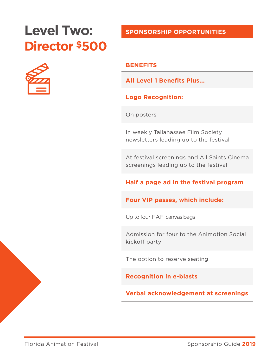# **Level Two: Director \$500**



## **SPONSORSHIP OPPORTUNITIES**

#### **BENEFITS**

**All Level 1 Benefits Plus...**

#### **Logo Recognition:**

On posters

In weekly Tallahassee Film Society newsletters leading up to the festival

At festival screenings and All Saints Cinema screenings leading up to the festival

#### **Half a page ad in the festival program**

**Four VIP passes, which include:**

Up to four FAF canvas bags

Admission for four to the Animotion Social kickoff party

The option to reserve seating

**Recognition in e-blasts**

**Verbal acknowledgement at screenings**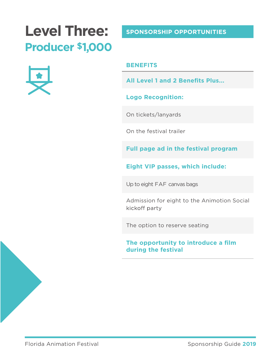# **Level Three: Producer \$1,000**



**SPONSORSHIP OPPORTUNITIES**

#### **BENEFITS**

**All Level 1 and 2 Benefits Plus...**

#### **Logo Recognition:**

On tickets/lanyards

On the festival trailer

**Full page ad in the festival program**

### **Eight VIP passes, which include:**

Up to eight FAF canvas bags

Admission for eight to the Animotion Social kickoff party

The option to reserve seating

#### **The opportunity to introduce a film during the festival**